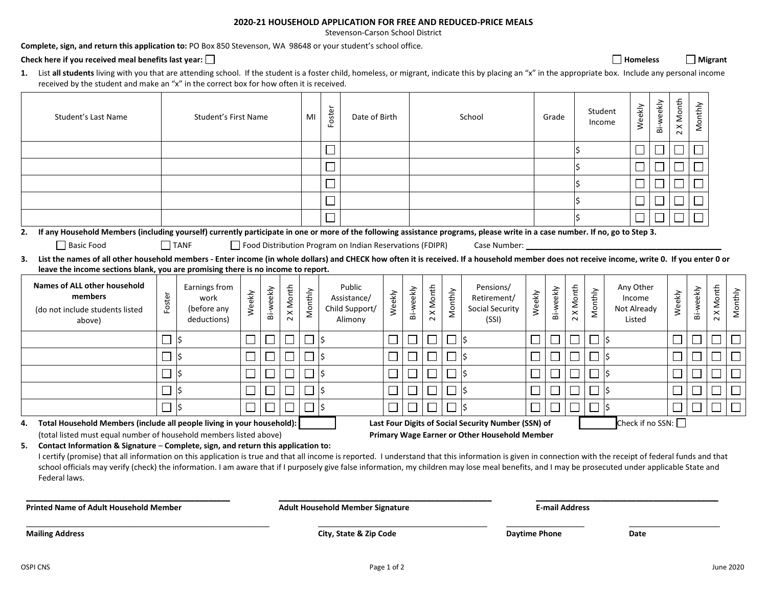## **2020-21 HOUSEHOLD APPLICATION FOR FREE AND REDUCED-PRICE MEALS**

Stevenson-Carson School District

**Complete, sign, and return this application to:** PO Box 850 Stevenson, WA 98648 or your student's school office.

Check here if you received meal benefits last year: □ **Homeless Homeless Homeless Homeless Homeless Homeless Homeless Homeless Homeless Homeless Homeless Homeless Homeless Homeless Homeless H** 

| List all students living with you that are attending school. If the student is a foster child, homeless, or migrant, indicate this by placing an "x" in the appropriate box. Include any personal income |  |
|----------------------------------------------------------------------------------------------------------------------------------------------------------------------------------------------------------|--|
| received by the student and make an "x" in the correct box for how often it is received.                                                                                                                 |  |

 $\overline{\phantom{a}}$ 

| Student's Last Name                                                                                                                                                                                                                                                                                                                                                                                                                                                                                                          | Student's First Name     |                                                     |        | MI        | Foster            | Date of Birth                           |                          |                                                          | School |                             |                   |         | Grade                                                       |                              | Student<br>Income |                   | Weekly  | Bi-weekly | 2 X Month                                    | Monthly                     |                             |           |                          |         |
|------------------------------------------------------------------------------------------------------------------------------------------------------------------------------------------------------------------------------------------------------------------------------------------------------------------------------------------------------------------------------------------------------------------------------------------------------------------------------------------------------------------------------|--------------------------|-----------------------------------------------------|--------|-----------|-------------------|-----------------------------------------|--------------------------|----------------------------------------------------------|--------|-----------------------------|-------------------|---------|-------------------------------------------------------------|------------------------------|-------------------|-------------------|---------|-----------|----------------------------------------------|-----------------------------|-----------------------------|-----------|--------------------------|---------|
|                                                                                                                                                                                                                                                                                                                                                                                                                                                                                                                              |                          |                                                     |        |           |                   |                                         | $\Box$                   |                                                          |        |                             |                   |         |                                                             |                              |                   |                   |         |           | $\overline{\phantom{a}}$                     |                             | $\mathcal{L}_{\mathcal{A}}$ |           |                          |         |
|                                                                                                                                                                                                                                                                                                                                                                                                                                                                                                                              |                          |                                                     |        |           |                   |                                         | $\Box$                   |                                                          |        |                             |                   |         |                                                             |                              |                   |                   |         |           | $\mathbf{L}$                                 | $\mathcal{L}_{\mathcal{A}}$ | $\mathcal{L}_{\mathcal{A}}$ |           |                          |         |
|                                                                                                                                                                                                                                                                                                                                                                                                                                                                                                                              |                          |                                                     |        |           |                   |                                         | ⊔                        |                                                          |        |                             |                   |         |                                                             |                              |                   |                   |         |           |                                              |                             |                             |           |                          |         |
|                                                                                                                                                                                                                                                                                                                                                                                                                                                                                                                              |                          |                                                     |        |           |                   |                                         | $\overline{\phantom{0}}$ |                                                          |        |                             |                   |         |                                                             |                              |                   |                   |         |           |                                              |                             |                             |           |                          |         |
|                                                                                                                                                                                                                                                                                                                                                                                                                                                                                                                              |                          |                                                     |        |           |                   |                                         |                          |                                                          |        |                             |                   |         |                                                             |                              |                   |                   |         |           |                                              |                             |                             |           |                          |         |
| If any Household Members (including yourself) currently participate in one or more of the following assistance programs, please write in a case number. If no, go to Step 3.<br>2.                                                                                                                                                                                                                                                                                                                                           |                          |                                                     |        |           |                   |                                         |                          |                                                          |        |                             |                   |         |                                                             |                              |                   |                   |         |           |                                              |                             |                             |           |                          |         |
| □ Basic Food                                                                                                                                                                                                                                                                                                                                                                                                                                                                                                                 |                          | $\Box$ TANF                                         |        |           |                   |                                         |                          | Food Distribution Program on Indian Reservations (FDIPR) |        |                             |                   |         | Case Number:                                                |                              |                   |                   |         |           |                                              |                             |                             |           |                          |         |
| 3. List the names of all other household members - Enter income (in whole dollars) and CHECK how often it is received. If a household member does not receive income, write 0. If you enter 0 or                                                                                                                                                                                                                                                                                                                             |                          |                                                     |        |           |                   |                                         |                          |                                                          |        |                             |                   |         |                                                             |                              |                   |                   |         |           |                                              |                             |                             |           |                          |         |
| leave the income sections blank, you are promising there is no income to report.                                                                                                                                                                                                                                                                                                                                                                                                                                             |                          |                                                     |        |           |                   |                                         |                          |                                                          |        |                             |                   |         |                                                             |                              |                   |                   |         |           |                                              |                             |                             |           |                          |         |
| <b>Names of ALL other household</b><br>members<br>(do not include students listed<br>above)                                                                                                                                                                                                                                                                                                                                                                                                                                  | Foster                   | Earnings from<br>work<br>(before any<br>deductions) | Weekly | Bi-weekly | X Month<br>$\sim$ | Monthly                                 |                          | Public<br>Assistance/<br>Child Support/<br>Alimony       | Weekly | Bi-weekly                   | X Month<br>$\sim$ | Monthly | Pensions/<br>Retirement/<br><b>Social Security</b><br>(SSI) | Weekly                       | Bi-weekly         | X Month<br>$\sim$ | Monthly |           | Any Other<br>Income<br>Not Already<br>Listed |                             | Weekly                      | Bi-weekly | 2 X Month                | Monthly |
|                                                                                                                                                                                                                                                                                                                                                                                                                                                                                                                              | $\overline{\phantom{a}}$ | Ś                                                   |        |           |                   | $\Box$                                  | ∣\$                      |                                                          |        | $\mathcal{L}_{\mathcal{A}}$ |                   | $\Box$  | \$                                                          | $\Box$                       |                   | $\Box$            | $\Box$  | - 5       |                                              |                             | $\mathbf{L}$                |           | $\overline{\phantom{a}}$ |         |
|                                                                                                                                                                                                                                                                                                                                                                                                                                                                                                                              | $\Box$                   | Ś                                                   |        |           |                   |                                         | l\$                      |                                                          |        |                             |                   | $\Box$  | Ś                                                           | $\Box$                       |                   | $\Box$            | $\Box$  | -ls       |                                              |                             |                             |           | $\overline{\phantom{0}}$ |         |
|                                                                                                                                                                                                                                                                                                                                                                                                                                                                                                                              | $\mathcal{L}$            | \$                                                  |        |           |                   | $\overline{\phantom{a}}$                | I\$                      |                                                          | └      | $\Box$                      |                   | $\Box$  | Ś                                                           | $\mathbb{Z}^2$               |                   | $\Box$            | $\Box$  |           |                                              |                             | $\Box$                      |           | $\overline{\phantom{0}}$ |         |
|                                                                                                                                                                                                                                                                                                                                                                                                                                                                                                                              | $\sim$                   | \$                                                  |        |           |                   |                                         | l\$                      |                                                          |        | $\vert \ \ \vert$           |                   |         | \$                                                          | $\mathcal{L}_{\mathcal{A}}$  |                   |                   |         |           |                                              |                             |                             |           | $\Box$                   |         |
|                                                                                                                                                                                                                                                                                                                                                                                                                                                                                                                              |                          | Ś                                                   |        |           |                   |                                         | ∣\$                      |                                                          |        |                             |                   |         | ς                                                           | $\Box$                       |                   |                   |         |           |                                              |                             |                             |           | $\Box$                   | $\Box$  |
| Total Household Members (include all people living in your household):<br>4.                                                                                                                                                                                                                                                                                                                                                                                                                                                 |                          |                                                     |        |           |                   |                                         |                          |                                                          |        |                             |                   |         | Last Four Digits of Social Security Number (SSN) of         |                              |                   |                   |         |           |                                              | Check if no SSN:            |                             |           |                          |         |
| (total listed must equal number of household members listed above)                                                                                                                                                                                                                                                                                                                                                                                                                                                           |                          |                                                     |        |           |                   |                                         |                          |                                                          |        |                             |                   |         | Primary Wage Earner or Other Household Member               |                              |                   |                   |         |           |                                              |                             |                             |           |                          |         |
| 5.<br>Contact Information & Signature - Complete, sign, and return this application to:<br>I certify (promise) that all information on this application is true and that all income is reported. I understand that this information is given in connection with the receipt of federal funds and that<br>school officials may verify (check) the information. I am aware that if I purposely give false information, my children may lose meal benefits, and I may be prosecuted under applicable State and<br>Federal laws. |                          |                                                     |        |           |                   |                                         |                          |                                                          |        |                             |                   |         |                                                             |                              |                   |                   |         |           |                                              |                             |                             |           |                          |         |
| <b>Printed Name of Adult Household Member</b>                                                                                                                                                                                                                                                                                                                                                                                                                                                                                |                          |                                                     |        |           |                   | <b>Adult Household Member Signature</b> |                          |                                                          |        |                             |                   |         |                                                             | <b>E-mail Address</b>        |                   |                   |         |           |                                              |                             |                             |           |                          |         |
| <b>Mailing Address</b>                                                                                                                                                                                                                                                                                                                                                                                                                                                                                                       |                          |                                                     |        |           |                   | City, State & Zip Code                  |                          |                                                          |        |                             |                   |         |                                                             | <b>Daytime Phone</b><br>Date |                   |                   |         |           |                                              |                             |                             |           |                          |         |